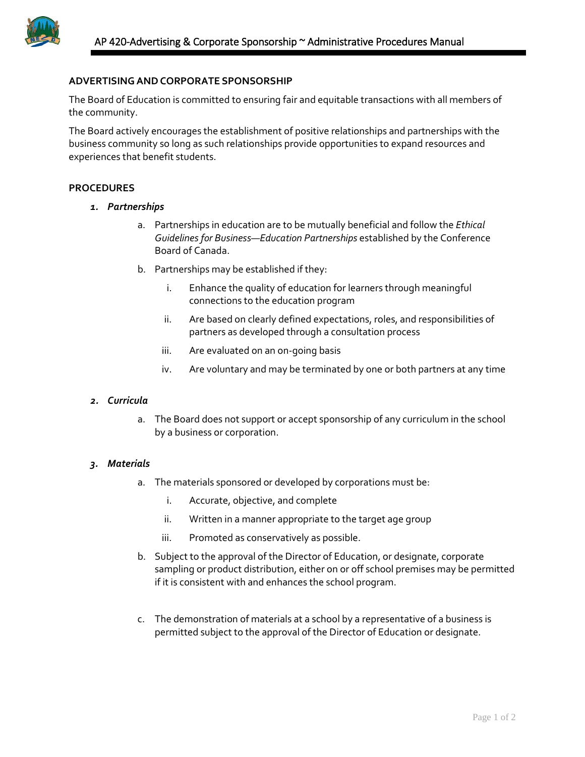

## **ADVERTISINGANDCORPORATE SPONSORSHIP**

The Board of Education is committed to ensuring fair and equitable transactions with all members of the community.

The Board actively encourages the establishment of positive relationships and partnerships with the business community so long as such relationships provide opportunities to expand resources and experiences that benefit students.

### **PROCEDURES**

- *1. Partnerships*
	- a. Partnerships in education are to be mutually beneficial and follow the *Ethical Guidelines for Business—Education Partnerships* established by the Conference Board of Canada.
	- b. Partnerships may be established if they:
		- i. Enhance the quality of education for learners through meaningful connections to the education program
		- ii. Are based on clearly defined expectations, roles, and responsibilities of partners as developed through a consultation process
		- iii. Are evaluated on an on-going basis
		- iv. Are voluntary and may be terminated by one or both partners at any time

### *2. Curricula*

a. The Board does not support or accept sponsorship of any curriculum in the school by a business or corporation.

### *3. Materials*

- a. The materials sponsored or developed by corporations must be:
	- i. Accurate, objective, and complete
	- ii. Written in a manner appropriate to the target age group
	- iii. Promoted as conservatively as possible.
- b. Subject to the approval of the Director of Education, or designate, corporate sampling or product distribution, either on or off school premises may be permitted if it is consistent with and enhances the school program.
- c. The demonstration of materials at a school by a representative of a business is permitted subject to the approval of the Director of Education or designate.